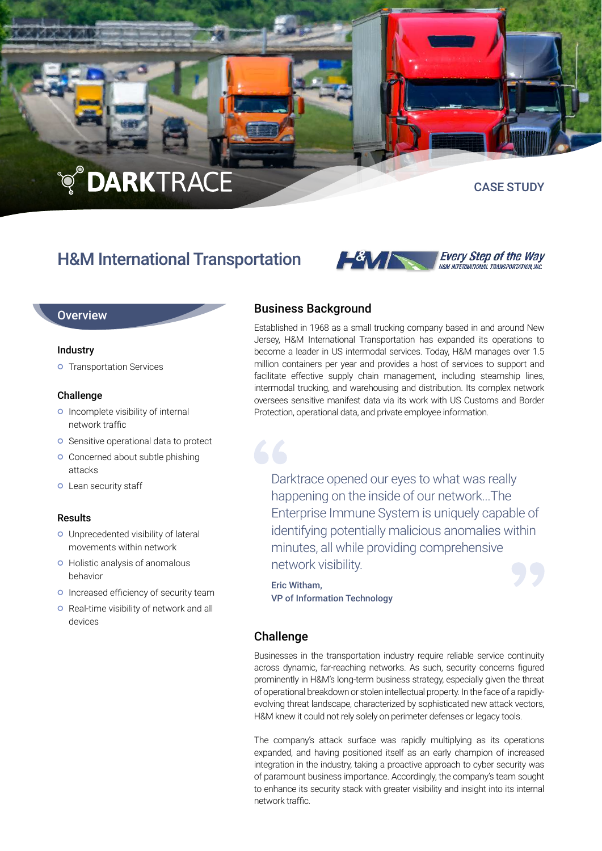# **TO DARKTRACE**

### CASE STUDY

## H&M International Transportation



#### **Overview**

#### Industry

**o** Transportation Services

#### Challenge

- o Incomplete visibility of internal network traffic
- **O** Sensitive operational data to protect
- **o** Concerned about subtle phishing attacks
- **o** Lean security staff

#### Results

- Unprecedented visibility of lateral movements within network
- o Holistic analysis of anomalous behavior
- o Increased efficiency of security team
- **o** Real-time visibility of network and all devices

#### Business Background

Established in 1968 as a small trucking company based in and around New Jersey, H&M International Transportation has expanded its operations to become a leader in US intermodal services. Today, H&M manages over 1.5 million containers per year and provides a host of services to support and facilitate effective supply chain management, including steamship lines, intermodal trucking, and warehousing and distribution. Its complex network oversees sensitive manifest data via its work with US Customs and Border Protection, operational data, and private employee information.

Darktrace opened our eyes to what was really happening on the inside of our network...The Enterprise Immune System is uniquely capable of identifying potentially malicious anomalies within minutes, all while providing comprehensive network visibility.

Eric Witham, VP of Information Technology

#### Challenge

Businesses in the transportation industry require reliable service continuity across dynamic, far-reaching networks. As such, security concerns figured prominently in H&M's long-term business strategy, especially given the threat of operational breakdown or stolen intellectual property. In the face of a rapidlyevolving threat landscape, characterized by sophisticated new attack vectors, H&M knew it could not rely solely on perimeter defenses or legacy tools.

The company's attack surface was rapidly multiplying as its operations expanded, and having positioned itself as an early champion of increased integration in the industry, taking a proactive approach to cyber security was of paramount business importance. Accordingly, the company's team sought to enhance its security stack with greater visibility and insight into its internal network traffic.